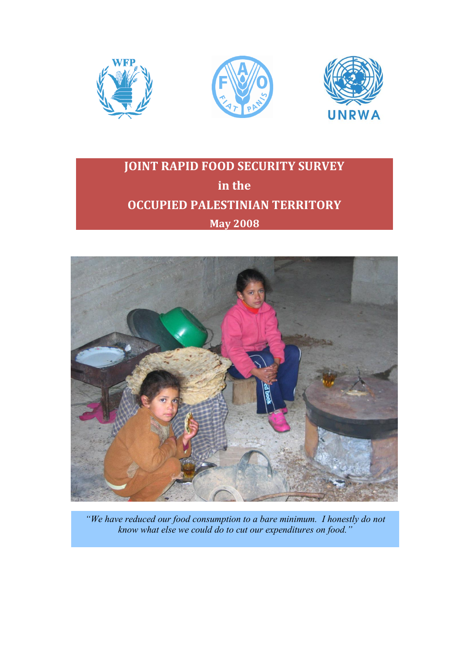





# **JOINT RAPID FOOD SECURITY SURVEY in the OCCUPIED PALESTINIAN TERRITORY May 2008**



*"We have reduced our food consumption to a bare minimum. I honestly do not know what else we could do to cut our expenditures on food."*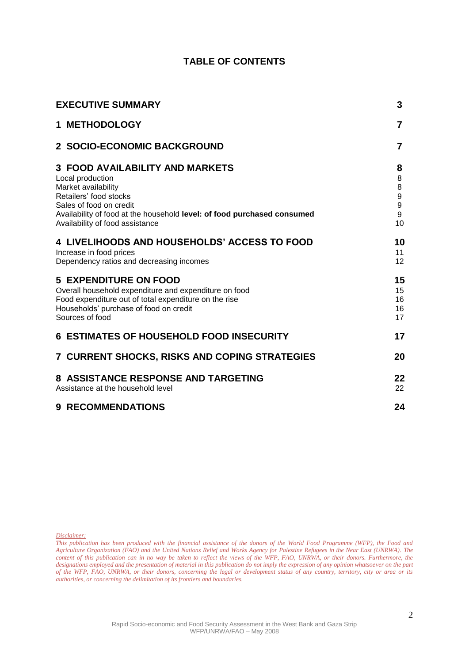## **TABLE OF CONTENTS**

| <b>EXECUTIVE SUMMARY</b>                                                                                                                                                                                                                             |                                                 |  |
|------------------------------------------------------------------------------------------------------------------------------------------------------------------------------------------------------------------------------------------------------|-------------------------------------------------|--|
| 1 METHODOLOGY                                                                                                                                                                                                                                        | 7                                               |  |
| 2 SOCIO-ECONOMIC BACKGROUND                                                                                                                                                                                                                          | $\overline{7}$                                  |  |
| <b>3 FOOD AVAILABILITY AND MARKETS</b><br>Local production<br>Market availability<br>Retailers' food stocks<br>Sales of food on credit<br>Availability of food at the household level: of food purchased consumed<br>Availability of food assistance | 8<br>8<br>8<br>$\boldsymbol{9}$<br>9<br>9<br>10 |  |
| 4 LIVELIHOODS AND HOUSEHOLDS' ACCESS TO FOOD<br>Increase in food prices<br>Dependency ratios and decreasing incomes                                                                                                                                  | 10<br>11<br>12                                  |  |
| <b>5 EXPENDITURE ON FOOD</b><br>Overall household expenditure and expenditure on food<br>Food expenditure out of total expenditure on the rise<br>Households' purchase of food on credit<br>Sources of food                                          | 15<br>15<br>16<br>16<br>17                      |  |
| <b>6 ESTIMATES OF HOUSEHOLD FOOD INSECURITY</b>                                                                                                                                                                                                      | 17                                              |  |
| 7 CURRENT SHOCKS, RISKS AND COPING STRATEGIES                                                                                                                                                                                                        | 20                                              |  |
| 8 ASSISTANCE RESPONSE AND TARGETING<br>Assistance at the household level                                                                                                                                                                             | 22<br>22                                        |  |
| <b>9 RECOMMENDATIONS</b>                                                                                                                                                                                                                             | 24                                              |  |

*Disclaimer:*

*This publication has been produced with the financial assistance of the donors of the World Food Programme (WFP), the Food and Agriculture Organization (FAO) and the United Nations Relief and Works Agency for Palestine Refugees in the Near East (UNRWA). The content of this publication can in no way be taken to reflect the views of the WFP, FAO, UNRWA, or their donors. Furthermore, the designations employed and the presentation of material in this publication do not imply the expression of any opinion whatsoever on the part of the WFP, FAO, UNRWA, or their donors, concerning the legal or development status of any country, territory, city or area or its authorities, or concerning the delimitation of its frontiers and boundaries.*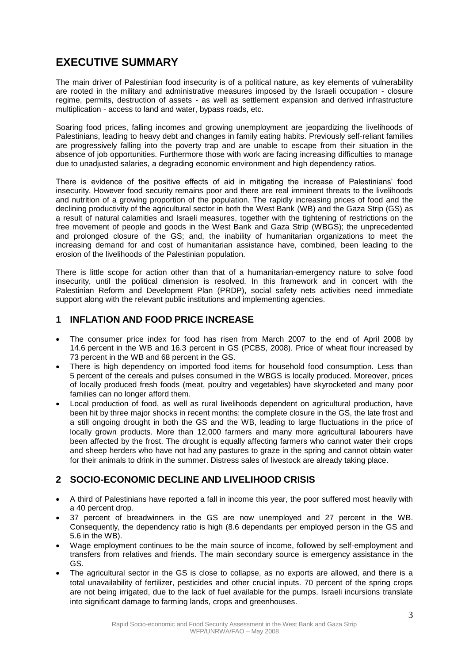## **EXECUTIVE SUMMARY**

The main driver of Palestinian food insecurity is of a political nature, as key elements of vulnerability are rooted in the military and administrative measures imposed by the Israeli occupation - closure regime, permits, destruction of assets - as well as settlement expansion and derived infrastructure multiplication - access to land and water, bypass roads, etc.

Soaring food prices, falling incomes and growing unemployment are jeopardizing the livelihoods of Palestinians, leading to heavy debt and changes in family eating habits. Previously self-reliant families are progressively falling into the poverty trap and are unable to escape from their situation in the absence of job opportunities. Furthermore those with work are facing increasing difficulties to manage due to unadjusted salaries, a degrading economic environment and high dependency ratios.

There is evidence of the positive effects of aid in mitigating the increase of Palestinians' food insecurity. However food security remains poor and there are real imminent threats to the livelihoods and nutrition of a growing proportion of the population. The rapidly increasing prices of food and the declining productivity of the agricultural sector in both the West Bank (WB) and the Gaza Strip (GS) as a result of natural calamities and Israeli measures, together with the tightening of restrictions on the free movement of people and goods in the West Bank and Gaza Strip (WBGS); the unprecedented and prolonged closure of the GS; and, the inability of humanitarian organizations to meet the increasing demand for and cost of humanitarian assistance have, combined, been leading to the erosion of the livelihoods of the Palestinian population.

There is little scope for action other than that of a humanitarian-emergency nature to solve food insecurity, until the political dimension is resolved. In this framework and in concert with the Palestinian Reform and Development Plan (PRDP), social safety nets activities need immediate support along with the relevant public institutions and implementing agencies.

## **1 INFLATION AND FOOD PRICE INCREASE**

- The consumer price index for food has risen from March 2007 to the end of April 2008 by 14.6 percent in the WB and 16.3 percent in GS (PCBS, 2008). Price of wheat flour increased by 73 percent in the WB and 68 percent in the GS.
- There is high dependency on imported food items for household food consumption. Less than 5 percent of the cereals and pulses consumed in the WBGS is locally produced. Moreover, prices of locally produced fresh foods (meat, poultry and vegetables) have skyrocketed and many poor families can no longer afford them.
- Local production of food, as well as rural livelihoods dependent on agricultural production, have been hit by three major shocks in recent months: the complete closure in the GS, the late frost and a still ongoing drought in both the GS and the WB, leading to large fluctuations in the price of locally grown products. More than 12,000 farmers and many more agricultural labourers have been affected by the frost. The drought is equally affecting farmers who cannot water their crops and sheep herders who have not had any pastures to graze in the spring and cannot obtain water for their animals to drink in the summer. Distress sales of livestock are already taking place.

## **2 SOCIO-ECONOMIC DECLINE AND LIVELIHOOD CRISIS**

- A third of Palestinians have reported a fall in income this year, the poor suffered most heavily with a 40 percent drop.
- 37 percent of breadwinners in the GS are now unemployed and 27 percent in the WB. Consequently, the dependency ratio is high (8.6 dependants per employed person in the GS and 5.6 in the WB).
- Wage employment continues to be the main source of income, followed by self-employment and transfers from relatives and friends. The main secondary source is emergency assistance in the GS.
- The agricultural sector in the GS is close to collapse, as no exports are allowed, and there is a total unavailability of fertilizer, pesticides and other crucial inputs. 70 percent of the spring crops are not being irrigated, due to the lack of fuel available for the pumps. Israeli incursions translate into significant damage to farming lands, crops and greenhouses.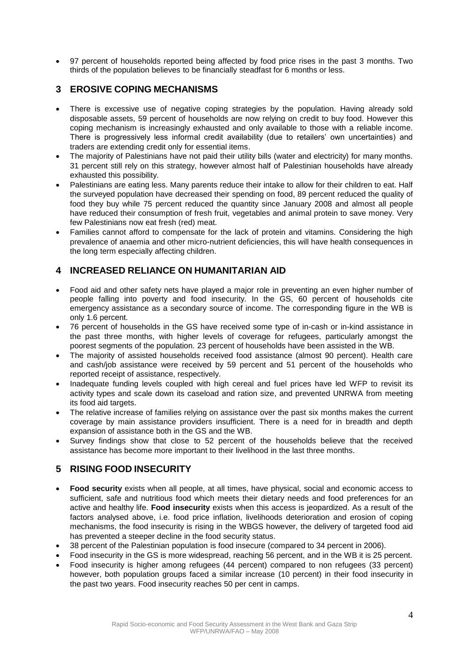97 percent of households reported being affected by food price rises in the past 3 months. Two thirds of the population believes to be financially steadfast for 6 months or less.

## **3 EROSIVE COPING MECHANISMS**

- There is excessive use of negative coping strategies by the population. Having already sold disposable assets, 59 percent of households are now relying on credit to buy food. However this coping mechanism is increasingly exhausted and only available to those with a reliable income. There is progressively less informal credit availability (due to retailers' own uncertainties) and traders are extending credit only for essential items.
- The majority of Palestinians have not paid their utility bills (water and electricity) for many months. 31 percent still rely on this strategy, however almost half of Palestinian households have already exhausted this possibility.
- Palestinians are eating less. Many parents reduce their intake to allow for their children to eat. Half the surveyed population have decreased their spending on food, 89 percent reduced the quality of food they buy while 75 percent reduced the quantity since January 2008 and almost all people have reduced their consumption of fresh fruit, vegetables and animal protein to save money. Very few Palestinians now eat fresh (red) meat.
- Families cannot afford to compensate for the lack of protein and vitamins. Considering the high prevalence of anaemia and other micro-nutrient deficiencies, this will have health consequences in the long term especially affecting children.

## **4 INCREASED RELIANCE ON HUMANITARIAN AID**

- Food aid and other safety nets have played a major role in preventing an even higher number of people falling into poverty and food insecurity. In the GS, 60 percent of households cite emergency assistance as a secondary source of income. The corresponding figure in the WB is only 1.6 percent.
- 76 percent of households in the GS have received some type of in-cash or in-kind assistance in the past three months, with higher levels of coverage for refugees, particularly amongst the poorest segments of the population. 23 percent of households have been assisted in the WB.
- The majority of assisted households received food assistance (almost 90 percent). Health care and cash/job assistance were received by 59 percent and 51 percent of the households who reported receipt of assistance, respectively.
- Inadequate funding levels coupled with high cereal and fuel prices have led WFP to revisit its activity types and scale down its caseload and ration size, and prevented UNRWA from meeting its food aid targets.
- The relative increase of families relying on assistance over the past six months makes the current coverage by main assistance providers insufficient. There is a need for in breadth and depth expansion of assistance both in the GS and the WB.
- Survey findings show that close to 52 percent of the households believe that the received assistance has become more important to their livelihood in the last three months.

## **5 RISING FOOD INSECURITY**

- **Food security** exists when all people, at all times, have physical, social and economic access to sufficient, safe and nutritious food which meets their dietary needs and food preferences for an active and healthy life. **Food insecurity** exists when this access is jeopardized. As a result of the factors analysed above, i.e. food price inflation, livelihoods deterioration and erosion of coping mechanisms, the food insecurity is rising in the WBGS however, the delivery of targeted food aid has prevented a steeper decline in the food security status.
- 38 percent of the Palestinian population is food insecure (compared to 34 percent in 2006).
- Food insecurity in the GS is more widespread, reaching 56 percent, and in the WB it is 25 percent.
- Food insecurity is higher among refugees (44 percent) compared to non refugees (33 percent) however, both population groups faced a similar increase (10 percent) in their food insecurity in the past two years. Food insecurity reaches 50 per cent in camps.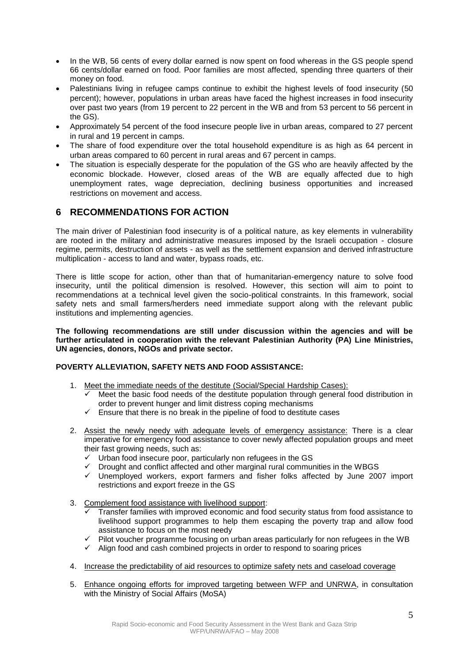- In the WB, 56 cents of every dollar earned is now spent on food whereas in the GS people spend 66 cents/dollar earned on food. Poor families are most affected, spending three quarters of their money on food.
- Palestinians living in refugee camps continue to exhibit the highest levels of food insecurity (50 percent); however, populations in urban areas have faced the highest increases in food insecurity over past two years (from 19 percent to 22 percent in the WB and from 53 percent to 56 percent in the GS).
- Approximately 54 percent of the food insecure people live in urban areas, compared to 27 percent in rural and 19 percent in camps.
- The share of food expenditure over the total household expenditure is as high as 64 percent in urban areas compared to 60 percent in rural areas and 67 percent in camps.
- The situation is especially desperate for the population of the GS who are heavily affected by the economic blockade. However, closed areas of the WB are equally affected due to high unemployment rates, wage depreciation, declining business opportunities and increased restrictions on movement and access.

## **6 RECOMMENDATIONS FOR ACTION**

The main driver of Palestinian food insecurity is of a political nature, as key elements in vulnerability are rooted in the military and administrative measures imposed by the Israeli occupation - closure regime, permits, destruction of assets - as well as the settlement expansion and derived infrastructure multiplication - access to land and water, bypass roads, etc.

There is little scope for action, other than that of humanitarian-emergency nature to solve food insecurity, until the political dimension is resolved. However, this section will aim to point to recommendations at a technical level given the socio-political constraints. In this framework, social safety nets and small farmers/herders need immediate support along with the relevant public institutions and implementing agencies.

**The following recommendations are still under discussion within the agencies and will be further articulated in cooperation with the relevant Palestinian Authority (PA) Line Ministries, UN agencies, donors, NGOs and private sector.**

#### **POVERTY ALLEVIATION, SAFETY NETS AND FOOD ASSISTANCE:**

- 1. Meet the immediate needs of the destitute (Social/Special Hardship Cases):
	- Meet the basic food needs of the destitute population through general food distribution in order to prevent hunger and limit distress coping mechanisms
	- $\checkmark$  Ensure that there is no break in the pipeline of food to destitute cases
- 2. Assist the newly needy with adequate levels of emergency assistance: There is a clear imperative for emergency food assistance to cover newly affected population groups and meet their fast growing needs, such as:
	- $\checkmark$  Urban food insecure poor, particularly non refugees in the GS
	- $\checkmark$  Drought and conflict affected and other marginal rural communities in the WBGS
	- $\checkmark$  Unemployed workers, export farmers and fisher folks affected by June 2007 import restrictions and export freeze in the GS
- 3. Complement food assistance with livelihood support:
	- Transfer families with improved economic and food security status from food assistance to livelihood support programmes to help them escaping the poverty trap and allow food assistance to focus on the most needy
	- $\checkmark$  Pilot voucher programme focusing on urban areas particularly for non refugees in the WB
	- $\checkmark$  Align food and cash combined projects in order to respond to soaring prices
- 4. Increase the predictability of aid resources to optimize safety nets and caseload coverage
- 5. Enhance ongoing efforts for improved targeting between WFP and UNRWA, in consultation with the Ministry of Social Affairs (MoSA)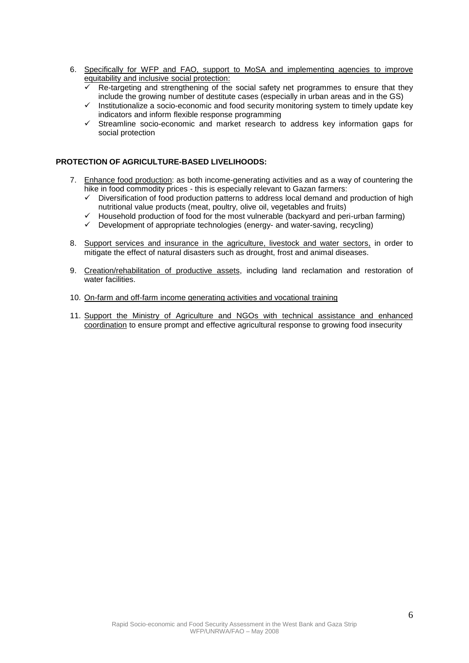- 6. Specifically for WFP and FAO, support to MoSA and implementing agencies to improve equitability and inclusive social protection:
	- Re-targeting and strengthening of the social safety net programmes to ensure that they include the growing number of destitute cases (especially in urban areas and in the GS)
	- $\checkmark$  Institutionalize a socio-economic and food security monitoring system to timely update key indicators and inform flexible response programming
	- $\checkmark$  Streamline socio-economic and market research to address key information gaps for social protection

#### **PROTECTION OF AGRICULTURE-BASED LIVELIHOODS:**

- 7. Enhance food production: as both income-generating activities and as a way of countering the hike in food commodity prices - this is especially relevant to Gazan farmers:
	- $\checkmark$  Diversification of food production patterns to address local demand and production of high nutritional value products (meat, poultry, olive oil, vegetables and fruits)
	- $\checkmark$  Household production of food for the most vulnerable (backyard and peri-urban farming)
	- $\checkmark$  Development of appropriate technologies (energy- and water-saving, recycling)
- 8. Support services and insurance in the agriculture, livestock and water sectors, in order to mitigate the effect of natural disasters such as drought, frost and animal diseases.
- 9. Creation/rehabilitation of productive assets, including land reclamation and restoration of water facilities.
- 10. On-farm and off-farm income generating activities and vocational training
- 11. Support the Ministry of Agriculture and NGOs with technical assistance and enhanced coordination to ensure prompt and effective agricultural response to growing food insecurity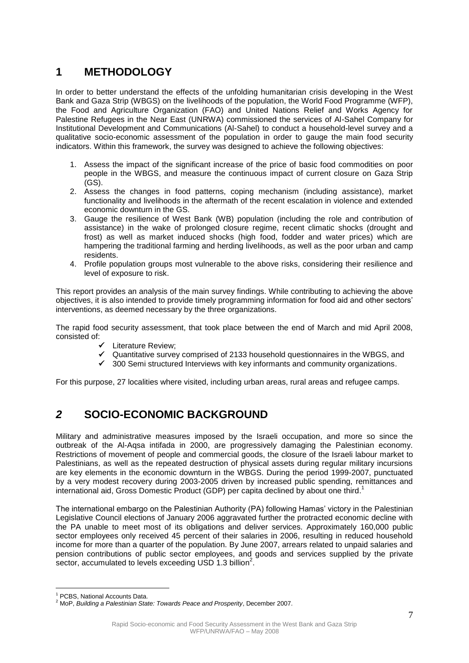## **1 METHODOLOGY**

In order to better understand the effects of the unfolding humanitarian crisis developing in the West Bank and Gaza Strip (WBGS) on the livelihoods of the population, the World Food Programme (WFP), the Food and Agriculture Organization (FAO) and United Nations Relief and Works Agency for Palestine Refugees in the Near East (UNRWA) commissioned the services of Al-Sahel Company for Institutional Development and Communications (Al-Sahel) to conduct a household-level survey and a qualitative socio-economic assessment of the population in order to gauge the main food security indicators. Within this framework, the survey was designed to achieve the following objectives:

- 1. Assess the impact of the significant increase of the price of basic food commodities on poor people in the WBGS, and measure the continuous impact of current closure on Gaza Strip (GS).
- 2. Assess the changes in food patterns, coping mechanism (including assistance), market functionality and livelihoods in the aftermath of the recent escalation in violence and extended economic downturn in the GS.
- 3. Gauge the resilience of West Bank (WB) population (including the role and contribution of assistance) in the wake of prolonged closure regime, recent climatic shocks (drought and frost) as well as market induced shocks (high food, fodder and water prices) which are hampering the traditional farming and herding livelihoods, as well as the poor urban and camp residents.
- 4. Profile population groups most vulnerable to the above risks, considering their resilience and level of exposure to risk.

This report provides an analysis of the main survey findings. While contributing to achieving the above objectives, it is also intended to provide timely programming information for food aid and other sectors' interventions, as deemed necessary by the three organizations.

The rapid food security assessment, that took place between the end of March and mid April 2008, consisted of:

- $\checkmark$  Literature Review:
- $\checkmark$  Quantitative survey comprised of 2133 household questionnaires in the WBGS, and
- $\checkmark$  300 Semi structured Interviews with key informants and community organizations.

For this purpose, 27 localities where visited, including urban areas, rural areas and refugee camps.

## *2* **SOCIO-ECONOMIC BACKGROUND**

Military and administrative measures imposed by the Israeli occupation, and more so since the outbreak of the Al-Aqsa intifada in 2000, are progressively damaging the Palestinian economy. Restrictions of movement of people and commercial goods, the closure of the Israeli labour market to Palestinians, as well as the repeated destruction of physical assets during regular military incursions are key elements in the economic downturn in the WBGS. During the period 1999-2007, punctuated by a very modest recovery during 2003-2005 driven by increased public spending, remittances and international aid, Gross Domestic Product (GDP) per capita declined by about one third. 1

The international embargo on the Palestinian Authority (PA) following Hamas' victory in the Palestinian Legislative Council elections of January 2006 aggravated further the protracted economic decline with the PA unable to meet most of its obligations and deliver services. Approximately 160,000 public sector employees only received 45 percent of their salaries in 2006, resulting in reduced household income for more than a quarter of the population. By June 2007, arrears related to unpaid salaries and pension contributions of public sector employees, and goods and services supplied by the private sector, accumulated to levels exceeding USD 1.3 billion<sup>2</sup>.

 $\overline{a}$ 

<sup>&</sup>lt;sup>1</sup> PCBS, National Accounts Data.

<sup>2</sup> MoP, *Building a Palestinian State: Towards Peace and Prosperity*, December 2007.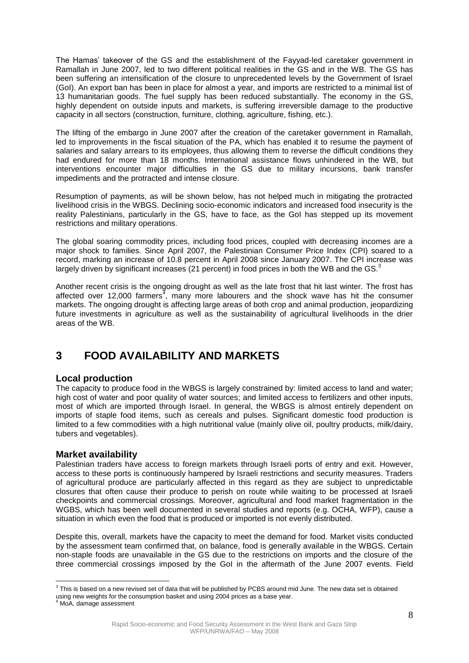The Hamas' takeover of the GS and the establishment of the Fayyad-led caretaker government in Ramallah in June 2007, led to two different political realities in the GS and in the WB. The GS has been suffering an intensification of the closure to unprecedented levels by the Government of Israel (GoI). An export ban has been in place for almost a year, and imports are restricted to a minimal list of 13 humanitarian goods. The fuel supply has been reduced substantially. The economy in the GS, highly dependent on outside inputs and markets, is suffering irreversible damage to the productive capacity in all sectors (construction, furniture, clothing, agriculture, fishing, etc.).

The lifting of the embargo in June 2007 after the creation of the caretaker government in Ramallah, led to improvements in the fiscal situation of the PA, which has enabled it to resume the payment of salaries and salary arrears to its employees, thus allowing them to reverse the difficult conditions they had endured for more than 18 months. International assistance flows unhindered in the WB, but interventions encounter major difficulties in the GS due to military incursions, bank transfer impediments and the protracted and intense closure.

Resumption of payments, as will be shown below, has not helped much in mitigating the protracted livelihood crisis in the WBGS. Declining socio-economic indicators and increased food insecurity is the reality Palestinians, particularly in the GS, have to face, as the GoI has stepped up its movement restrictions and military operations.

The global soaring commodity prices, including food prices, coupled with decreasing incomes are a major shock to families. Since April 2007, the Palestinian Consumer Price Index (CPI) soared to a record, marking an increase of 10.8 percent in April 2008 since January 2007. The CPI increase was largely driven by significant increases (21 percent) in food prices in both the WB and the GS.<sup>3</sup>

Another recent crisis is the ongoing drought as well as the late frost that hit last winter. The frost has affected over 12,000 farmers<sup>4</sup>, many more labourers and the shock wave has hit the consumer markets. The ongoing drought is affecting large areas of both crop and animal production, jeopardizing future investments in agriculture as well as the sustainability of agricultural livelihoods in the drier areas of the WB.

## **3 FOOD AVAILABILITY AND MARKETS**

### **Local production**

The capacity to produce food in the WBGS is largely constrained by: limited access to land and water; high cost of water and poor quality of water sources; and limited access to fertilizers and other inputs, most of which are imported through Israel. In general, the WBGS is almost entirely dependent on imports of staple food items, such as cereals and pulses. Significant domestic food production is limited to a few commodities with a high nutritional value (mainly olive oil, poultry products, milk/dairy, tubers and vegetables).

### **Market availability**

Palestinian traders have access to foreign markets through Israeli ports of entry and exit. However, access to these ports is continuously hampered by Israeli restrictions and security measures. Traders of agricultural produce are particularly affected in this regard as they are subject to unpredictable closures that often cause their produce to perish on route while waiting to be processed at Israeli checkpoints and commercial crossings. Moreover, agricultural and food market fragmentation in the WGBS, which has been well documented in several studies and reports (e.g. OCHA, WFP), cause a situation in which even the food that is produced or imported is not evenly distributed.

Despite this, overall, markets have the capacity to meet the demand for food. Market visits conducted by the assessment team confirmed that, on balance, food is generally available in the WBGS. Certain non-staple foods are unavailable in the GS due to the restrictions on imports and the closure of the three commercial crossings imposed by the GoI in the aftermath of the June 2007 events. Field

 $^3$  This is based on a new revised set of data that will be published by PCBS around mid June. The new data set is obtained using new weights for the consumption basket and using 2004 prices as a base year.<br><sup>4</sup> MoA, damage assessment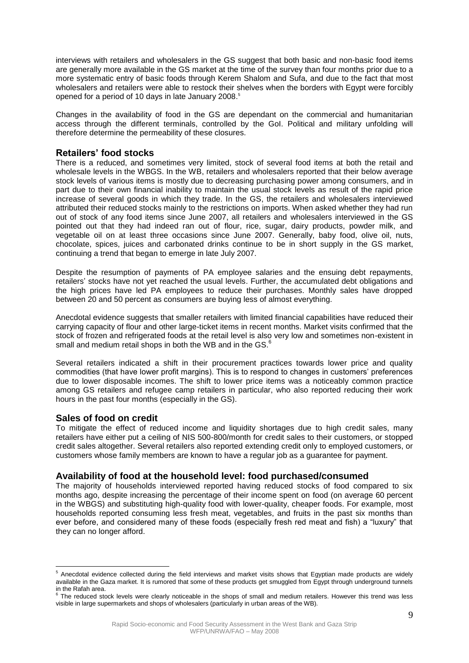interviews with retailers and wholesalers in the GS suggest that both basic and non-basic food items are generally more available in the GS market at the time of the survey than four months prior due to a more systematic entry of basic foods through Kerem Shalom and Sufa, and due to the fact that most wholesalers and retailers were able to restock their shelves when the borders with Egypt were forcibly opened for a period of 10 days in late January 2008.<sup>5</sup>

Changes in the availability of food in the GS are dependant on the commercial and humanitarian access through the different terminals, controlled by the GoI. Political and military unfolding will therefore determine the permeability of these closures.

### **Retailers' food stocks**

There is a reduced, and sometimes very limited, stock of several food items at both the retail and wholesale levels in the WBGS. In the WB, retailers and wholesalers reported that their below average stock levels of various items is mostly due to decreasing purchasing power among consumers, and in part due to their own financial inability to maintain the usual stock levels as result of the rapid price increase of several goods in which they trade. In the GS, the retailers and wholesalers interviewed attributed their reduced stocks mainly to the restrictions on imports. When asked whether they had run out of stock of any food items since June 2007, all retailers and wholesalers interviewed in the GS pointed out that they had indeed ran out of flour, rice, sugar, dairy products, powder milk, and vegetable oil on at least three occasions since June 2007. Generally, baby food, olive oil, nuts, chocolate, spices, juices and carbonated drinks continue to be in short supply in the GS market, continuing a trend that began to emerge in late July 2007.

Despite the resumption of payments of PA employee salaries and the ensuing debt repayments, retailers' stocks have not yet reached the usual levels. Further, the accumulated debt obligations and the high prices have led PA employees to reduce their purchases. Monthly sales have dropped between 20 and 50 percent as consumers are buying less of almost everything.

Anecdotal evidence suggests that smaller retailers with limited financial capabilities have reduced their carrying capacity of flour and other large-ticket items in recent months. Market visits confirmed that the stock of frozen and refrigerated foods at the retail level is also very low and sometimes non-existent in small and medium retail shops in both the WB and in the GS.<sup>6</sup>

Several retailers indicated a shift in their procurement practices towards lower price and quality commodities (that have lower profit margins). This is to respond to changes in customers' preferences due to lower disposable incomes. The shift to lower price items was a noticeably common practice among GS retailers and refugee camp retailers in particular, who also reported reducing their work hours in the past four months (especially in the GS).

### **Sales of food on credit**

 $\overline{a}$ 

To mitigate the effect of reduced income and liquidity shortages due to high credit sales, many retailers have either put a ceiling of NIS 500-800/month for credit sales to their customers, or stopped credit sales altogether. Several retailers also reported extending credit only to employed customers, or customers whose family members are known to have a regular job as a guarantee for payment.

### **Availability of food at the household level: food purchased/consumed**

The majority of households interviewed reported having reduced stocks of food compared to six months ago, despite increasing the percentage of their income spent on food (on average 60 percent in the WBGS) and substituting high-quality food with lower-quality, cheaper foods. For example, most households reported consuming less fresh meat, vegetables, and fruits in the past six months than ever before, and considered many of these foods (especially fresh red meat and fish) a "luxury" that they can no longer afford.

 $<sup>5</sup>$  Anecdotal evidence collected during the field interviews and market visits shows that Egyptian made products are widely</sup> available in the Gaza market. It is rumored that some of these products get smuggled from Egypt through underground tunnels in the Rafah area.<br><sup>6</sup> The reduced at

The reduced stock levels were clearly noticeable in the shops of small and medium retailers. However this trend was less visible in large supermarkets and shops of wholesalers (particularly in urban areas of the WB).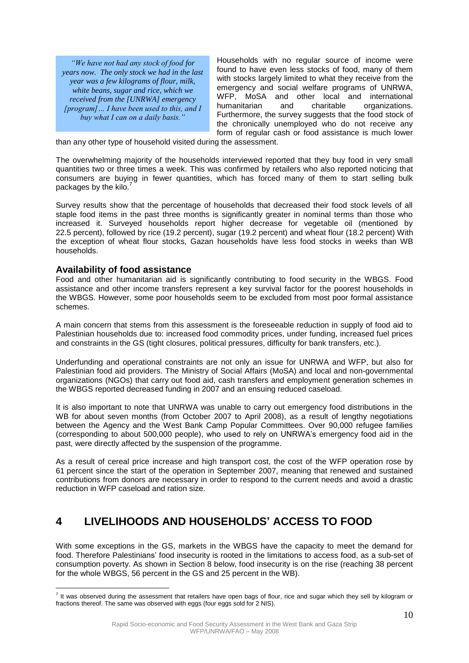*"We have not had any stock of food for years now. The only stock we had in the last year was a few kilograms of flour, milk, white beans, sugar and rice, which we received from the [UNRWA] emergency [program]… I have been used to this, and I buy what I can on a daily basis."*

Households with no regular source of income were found to have even less stocks of food, many of them with stocks largely limited to what they receive from the emergency and social welfare programs of UNRWA, WFP, MoSA and other local and international humanitarian and charitable organizations. Furthermore, the survey suggests that the food stock of the chronically unemployed who do not receive any form of regular cash or food assistance is much lower

than any other type of household visited during the assessment.

The overwhelming majority of the households interviewed reported that they buy food in very small quantities two or three times a week. This was confirmed by retailers who also reported noticing that consumers are buying in fewer quantities, which has forced many of them to start selling bulk packages by the kilo.

Survey results show that the percentage of households that decreased their food stock levels of all staple food items in the past three months is significantly greater in nominal terms than those who increased it. Surveyed households report higher decrease for vegetable oil (mentioned by 22.5 percent), followed by rice (19.2 percent), sugar (19.2 percent) and wheat flour (18.2 percent) With the exception of wheat flour stocks, Gazan households have less food stocks in weeks than WB households.

### **Availability of food assistance**

Food and other humanitarian aid is significantly contributing to food security in the WBGS. Food assistance and other income transfers represent a key survival factor for the poorest households in the WBGS. However, some poor households seem to be excluded from most poor formal assistance schemes.

A main concern that stems from this assessment is the foreseeable reduction in supply of food aid to Palestinian households due to: increased food commodity prices, under funding, increased fuel prices and constraints in the GS (tight closures, political pressures, difficulty for bank transfers, etc.).

Underfunding and operational constraints are not only an issue for UNRWA and WFP, but also for Palestinian food aid providers. The Ministry of Social Affairs (MoSA) and local and non-governmental organizations (NGOs) that carry out food aid, cash transfers and employment generation schemes in the WBGS reported decreased funding in 2007 and an ensuing reduced caseload.

It is also important to note that UNRWA was unable to carry out emergency food distributions in the WB for about seven months (from October 2007 to April 2008), as a result of lengthy negotiations between the Agency and the West Bank Camp Popular Committees. Over 90,000 refugee families (corresponding to about 500,000 people), who used to rely on UNRWA's emergency food aid in the past, were directly affected by the suspension of the programme.

As a result of cereal price increase and high transport cost, the cost of the WFP operation rose by 61 percent since the start of the operation in September 2007, meaning that renewed and sustained contributions from donors are necessary in order to respond to the current needs and avoid a drastic reduction in WFP caseload and ration size.

## **4 LIVELIHOODS AND HOUSEHOLDS' ACCESS TO FOOD**

With some exceptions in the GS, markets in the WBGS have the capacity to meet the demand for food. Therefore Palestinians' food insecurity is rooted in the limitations to access food, as a sub-set of consumption poverty. As shown in Section 8 below, food insecurity is on the rise (reaching 38 percent for the whole WBGS, 56 percent in the GS and 25 percent in the WB).

 $\overline{a}$  $^7$  It was observed during the assessment that retailers have open bags of flour, rice and sugar which they sell by kilogram or fractions thereof. The same was observed with eggs (four eggs sold for 2 NIS).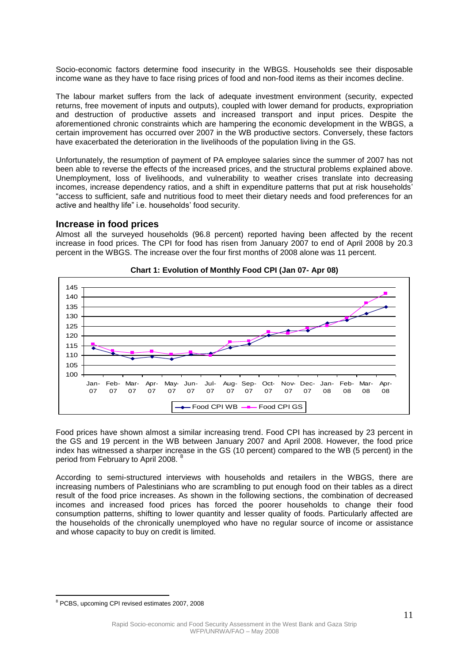Socio-economic factors determine food insecurity in the WBGS. Households see their disposable income wane as they have to face rising prices of food and non-food items as their incomes decline.

The labour market suffers from the lack of adequate investment environment (security, expected returns, free movement of inputs and outputs), coupled with lower demand for products, expropriation and destruction of productive assets and increased transport and input prices. Despite the aforementioned chronic constraints which are hampering the economic development in the WBGS, a certain improvement has occurred over 2007 in the WB productive sectors. Conversely, these factors have exacerbated the deterioration in the livelihoods of the population living in the GS.

Unfortunately, the resumption of payment of PA employee salaries since the summer of 2007 has not been able to reverse the effects of the increased prices, and the structural problems explained above. Unemployment, loss of livelihoods, and vulnerability to weather crises translate into decreasing incomes, increase dependency ratios, and a shift in expenditure patterns that put at risk households' "access to sufficient, safe and nutritious food to meet their dietary needs and food preferences for an active and healthy life" i.e. households' food security.

#### **Increase in food prices**

Almost all the surveyed households (96.8 percent) reported having been affected by the recent increase in food prices. The CPI for food has risen from January 2007 to end of April 2008 by 20.3 percent in the WBGS. The increase over the four first months of 2008 alone was 11 percent.





Food prices have shown almost a similar increasing trend. Food CPI has increased by 23 percent in the GS and 19 percent in the WB between January 2007 and April 2008. However, the food price index has witnessed a sharper increase in the GS (10 percent) compared to the WB (5 percent) in the period from February to April 2008. <sup>8</sup>

According to semi-structured interviews with households and retailers in the WBGS, there are increasing numbers of Palestinians who are scrambling to put enough food on their tables as a direct result of the food price increases. As shown in the following sections, the combination of decreased incomes and increased food prices has forced the poorer households to change their food consumption patterns, shifting to lower quantity and lesser quality of foods. Particularly affected are the households of the chronically unemployed who have no regular source of income or assistance and whose capacity to buy on credit is limited.

 $\overline{a}$ 

<sup>8</sup> PCBS, upcoming CPI revised estimates 2007, 2008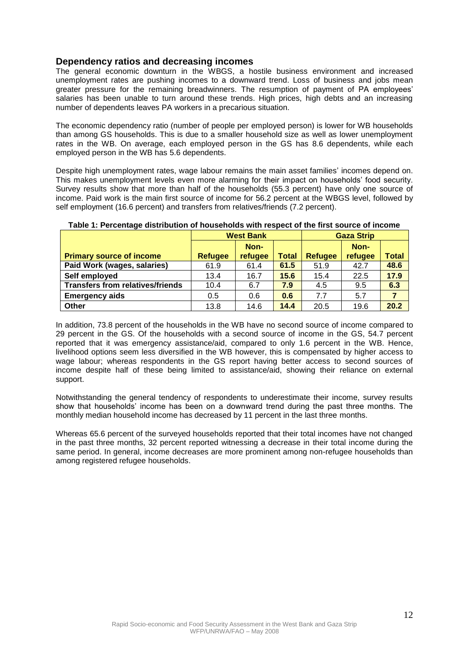## **Dependency ratios and decreasing incomes**

The general economic downturn in the WBGS, a hostile business environment and increased unemployment rates are pushing incomes to a downward trend. Loss of business and jobs mean greater pressure for the remaining breadwinners. The resumption of payment of PA employees' salaries has been unable to turn around these trends. High prices, high debts and an increasing number of dependents leaves PA workers in a precarious situation.

The economic dependency ratio (number of people per employed person) is lower for WB households than among GS households. This is due to a smaller household size as well as lower unemployment rates in the WB. On average, each employed person in the GS has 8.6 dependents, while each employed person in the WB has 5.6 dependents.

Despite high unemployment rates, wage labour remains the main asset families' incomes depend on. This makes unemployment levels even more alarming for their impact on households' food security. Survey results show that more than half of the households (55.3 percent) have only one source of income. Paid work is the main first source of income for 56.2 percent at the WBGS level, followed by self employment (16.6 percent) and transfers from relatives/friends (7.2 percent).

|                                         | <b>West Bank</b> |         |              | <b>Gaza Strip</b> |         |                |
|-----------------------------------------|------------------|---------|--------------|-------------------|---------|----------------|
|                                         |                  | Non-    |              |                   | Non-    |                |
| <b>Primary source of income</b>         | <b>Refugee</b>   | refugee | <b>Total</b> | <b>Refugee</b>    | refugee | <b>Total</b>   |
| Paid Work (wages, salaries)             | 61.9             | 61.4    | 61.5         | 51.9              | 42.7    | 48.6           |
| Self employed                           | 13.4             | 16.7    | 15.6         | 15.4              | 22.5    | 17.9           |
| <b>Transfers from relatives/friends</b> | 10.4             | 6.7     | 7.9          | 4.5               | 9.5     | 6.3            |
| <b>Emergency aids</b>                   | 0.5              | 0.6     | 0.6          | 7.7               | 5.7     | $\overline{7}$ |
| Other                                   | 13.8             | 14.6    | 14.4         | 20.5              | 19.6    | 20.2           |

**Table 1: Percentage distribution of households with respect of the first source of income**

In addition, 73.8 percent of the households in the WB have no second source of income compared to 29 percent in the GS. Of the households with a second source of income in the GS, 54.7 percent reported that it was emergency assistance/aid, compared to only 1.6 percent in the WB. Hence, livelihood options seem less diversified in the WB however, this is compensated by higher access to wage labour; whereas respondents in the GS report having better access to second sources of income despite half of these being limited to assistance/aid, showing their reliance on external support.

Notwithstanding the general tendency of respondents to underestimate their income, survey results show that households' income has been on a downward trend during the past three months. The monthly median household income has decreased by 11 percent in the last three months.

Whereas 65.6 percent of the surveyed households reported that their total incomes have not changed in the past three months, 32 percent reported witnessing a decrease in their total income during the same period. In general, income decreases are more prominent among non-refugee households than among registered refugee households.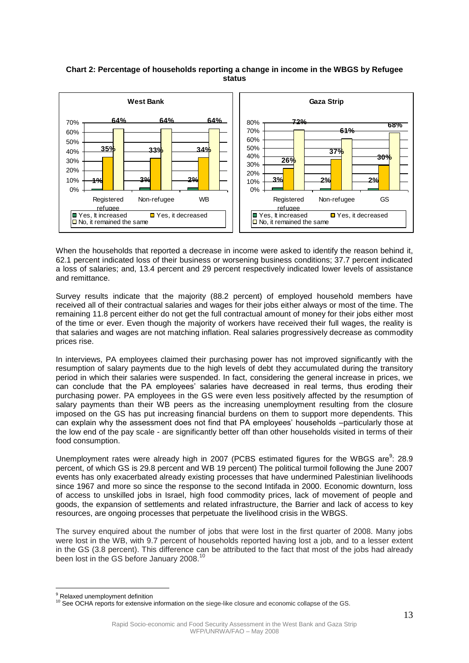#### **Chart 2: Percentage of households reporting a change in income in the WBGS by Refugee status**



When the households that reported a decrease in income were asked to identify the reason behind it, 62.1 percent indicated loss of their business or worsening business conditions; 37.7 percent indicated a loss of salaries; and, 13.4 percent and 29 percent respectively indicated lower levels of assistance and remittance.

Survey results indicate that the majority (88.2 percent) of employed household members have received all of their contractual salaries and wages for their jobs either always or most of the time. The remaining 11.8 percent either do not get the full contractual amount of money for their jobs either most of the time or ever. Even though the majority of workers have received their full wages, the reality is that salaries and wages are not matching inflation. Real salaries progressively decrease as commodity prices rise.

In interviews, PA employees claimed their purchasing power has not improved significantly with the resumption of salary payments due to the high levels of debt they accumulated during the transitory period in which their salaries were suspended. In fact, considering the general increase in prices, we can conclude that the PA employees' salaries have decreased in real terms, thus eroding their purchasing power. PA employees in the GS were even less positively affected by the resumption of salary payments than their WB peers as the increasing unemployment resulting from the closure imposed on the GS has put increasing financial burdens on them to support more dependents. This can explain why the assessment does not find that PA employees' households –particularly those at the low end of the pay scale - are significantly better off than other households visited in terms of their food consumption.

Unemployment rates were already high in 2007 (PCBS estimated figures for the WBGS are $9$ : 28.9 percent, of which GS is 29.8 percent and WB 19 percent) The political turmoil following the June 2007 events has only exacerbated already existing processes that have undermined Palestinian livelihoods since 1967 and more so since the response to the second Intifada in 2000. Economic downturn, loss of access to unskilled jobs in Israel, high food commodity prices, lack of movement of people and goods, the expansion of settlements and related infrastructure, the Barrier and lack of access to key resources, are ongoing processes that perpetuate the livelihood crisis in the WBGS.

The survey enquired about the number of jobs that were lost in the first quarter of 2008. Many jobs were lost in the WB, with 9.7 percent of households reported having lost a job, and to a lesser extent in the GS (3.8 percent). This difference can be attributed to the fact that most of the jobs had already been lost in the GS before January 2008.<sup>10</sup>

 $\overline{a}$ 

<sup>&</sup>lt;sup>9</sup> Relaxed unemployment definition

<sup>&</sup>lt;sup>10</sup> See OCHA reports for extensive information on the siege-like closure and economic collapse of the GS.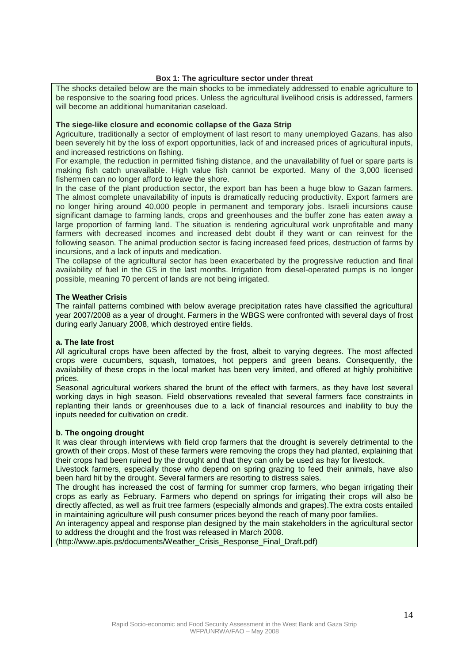#### **Box 1: The agriculture sector under threat**

The shocks detailed below are the main shocks to be immediately addressed to enable agriculture to be responsive to the soaring food prices. Unless the agricultural livelihood crisis is addressed, farmers will become an additional humanitarian caseload.

#### **The siege-like closure and economic collapse of the Gaza Strip**

Agriculture, traditionally a sector of employment of last resort to many unemployed Gazans, has also been severely hit by the loss of export opportunities, lack of and increased prices of agricultural inputs, and increased restrictions on fishing.

For example, the reduction in permitted fishing distance, and the unavailability of fuel or spare parts is making fish catch unavailable. High value fish cannot be exported. Many of the 3,000 licensed fishermen can no longer afford to leave the shore.

In the case of the plant production sector, the export ban has been a huge blow to Gazan farmers. The almost complete unavailability of inputs is dramatically reducing productivity. Export farmers are no longer hiring around 40,000 people in permanent and temporary jobs. Israeli incursions cause significant damage to farming lands, crops and greenhouses and the buffer zone has eaten away a large proportion of farming land. The situation is rendering agricultural work unprofitable and many farmers with decreased incomes and increased debt doubt if they want or can reinvest for the following season. The animal production sector is facing increased feed prices, destruction of farms by incursions, and a lack of inputs and medication.

The collapse of the agricultural sector has been exacerbated by the progressive reduction and final availability of fuel in the GS in the last months. Irrigation from diesel-operated pumps is no longer possible, meaning 70 percent of lands are not being irrigated.

#### **The Weather Crisis**

The rainfall patterns combined with below average precipitation rates have classified the agricultural year 2007/2008 as a year of drought. Farmers in the WBGS were confronted with several days of frost during early January 2008, which destroyed entire fields.

#### **a. The late frost**

All agricultural crops have been affected by the frost, albeit to varying degrees. The most affected crops were cucumbers, squash, tomatoes, hot peppers and green beans. Consequently, the availability of these crops in the local market has been very limited, and offered at highly prohibitive prices.

Seasonal agricultural workers shared the brunt of the effect with farmers, as they have lost several working days in high season. Field observations revealed that several farmers face constraints in replanting their lands or greenhouses due to a lack of financial resources and inability to buy the inputs needed for cultivation on credit.

#### **b. The ongoing drought**

It was clear through interviews with field crop farmers that the drought is severely detrimental to the growth of their crops. Most of these farmers were removing the crops they had planted, explaining that their crops had been ruined by the drought and that they can only be used as hay for livestock.

Livestock farmers, especially those who depend on spring grazing to feed their animals, have also been hard hit by the drought. Several farmers are resorting to distress sales.

The drought has increased the cost of farming for summer crop farmers, who began irrigating their crops as early as February. Farmers who depend on springs for irrigating their crops will also be directly affected, as well as fruit tree farmers (especially almonds and grapes).The extra costs entailed in maintaining agriculture will push consumer prices beyond the reach of many poor families.

An interagency appeal and response plan designed by the main stakeholders in the agricultural sector to address the drought and the frost was released in March 2008.

(http://www.apis.ps/documents/Weather\_Crisis\_Response\_Final\_Draft.pdf)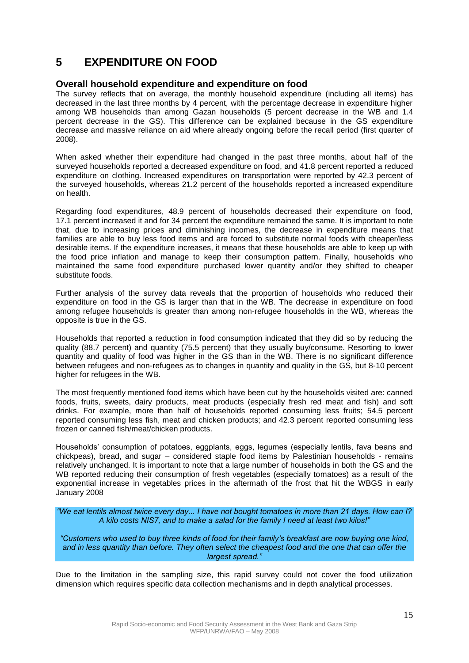## **5 EXPENDITURE ON FOOD**

### **Overall household expenditure and expenditure on food**

The survey reflects that on average, the monthly household expenditure (including all items) has decreased in the last three months by 4 percent, with the percentage decrease in expenditure higher among WB households than among Gazan households (5 percent decrease in the WB and 1.4 percent decrease in the GS). This difference can be explained because in the GS expenditure decrease and massive reliance on aid where already ongoing before the recall period (first quarter of 2008).

When asked whether their expenditure had changed in the past three months, about half of the surveyed households reported a decreased expenditure on food, and 41.8 percent reported a reduced expenditure on clothing. Increased expenditures on transportation were reported by 42.3 percent of the surveyed households, whereas 21.2 percent of the households reported a increased expenditure on health.

Regarding food expenditures, 48.9 percent of households decreased their expenditure on food, 17.1 percent increased it and for 34 percent the expenditure remained the same. It is important to note that, due to increasing prices and diminishing incomes, the decrease in expenditure means that families are able to buy less food items and are forced to substitute normal foods with cheaper/less desirable items. If the expenditure increases, it means that these households are able to keep up with the food price inflation and manage to keep their consumption pattern. Finally, households who maintained the same food expenditure purchased lower quantity and/or they shifted to cheaper substitute foods.

Further analysis of the survey data reveals that the proportion of households who reduced their expenditure on food in the GS is larger than that in the WB. The decrease in expenditure on food among refugee households is greater than among non-refugee households in the WB, whereas the opposite is true in the GS.

Households that reported a reduction in food consumption indicated that they did so by reducing the quality (88.7 percent) and quantity (75.5 percent) that they usually buy/consume. Resorting to lower quantity and quality of food was higher in the GS than in the WB. There is no significant difference between refugees and non-refugees as to changes in quantity and quality in the GS, but 8-10 percent higher for refugees in the WB.

The most frequently mentioned food items which have been cut by the households visited are: canned foods, fruits, sweets, dairy products, meat products (especially fresh red meat and fish) and soft drinks. For example, more than half of households reported consuming less fruits; 54.5 percent reported consuming less fish, meat and chicken products; and 42.3 percent reported consuming less frozen or canned fish/meat/chicken products.

Households' consumption of potatoes, eggplants, eggs, legumes (especially lentils, fava beans and chickpeas), bread, and sugar – considered staple food items by Palestinian households - remains relatively unchanged. It is important to note that a large number of households in both the GS and the WB reported reducing their consumption of fresh vegetables (especially tomatoes) as a result of the exponential increase in vegetables prices in the aftermath of the frost that hit the WBGS in early January 2008

*"We eat lentils almost twice every day... I have not bought tomatoes in more than 21 days. How can I? A kilo costs NIS7, and to make a salad for the family I need at least two kilos!"*

*"Customers who used to buy three kinds of food for their family's breakfast are now buying one kind, and in less quantity than before. They often select the cheapest food and the one that can offer the largest spread."*

Due to the limitation in the sampling size, this rapid survey could not cover the food utilization dimension which requires specific data collection mechanisms and in depth analytical processes.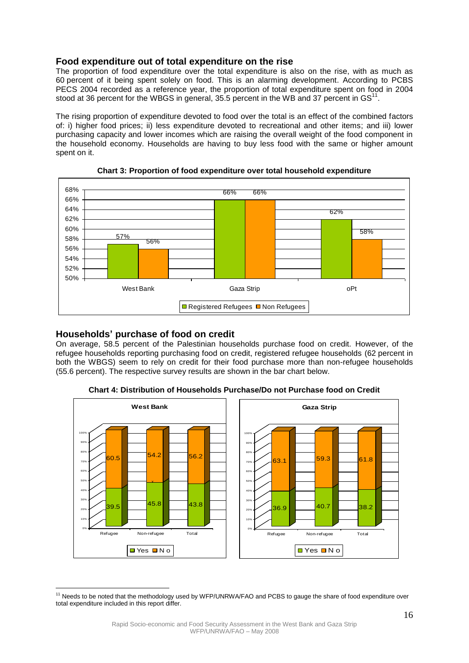## **Food expenditure out of total expenditure on the rise**

The proportion of food expenditure over the total expenditure is also on the rise, with as much as 60 percent of it being spent solely on food. This is an alarming development. According to PCBS PECS 2004 recorded as a reference year, the proportion of total expenditure spent on food in 2004 stood at 36 percent for the WBGS in general, 35.5 percent in the WB and 37 percent in GS<sup>11</sup>.

The rising proportion of expenditure devoted to food over the total is an effect of the combined factors of: i) higher food prices; ii) less expenditure devoted to recreational and other items; and iii) lower purchasing capacity and lower incomes which are raising the overall weight of the food component in the household economy. Households are having to buy less food with the same or higher amount spent on it.



**Chart 3: Proportion of food expenditure over total household expenditure**

### **Households' purchase of food on credit**

 $\overline{a}$ 

On average, 58.5 percent of the Palestinian households purchase food on credit. However, of the refugee households reporting purchasing food on credit, registered refugee households (62 percent in both the WBGS) seem to rely on credit for their food purchase more than non-refugee households (55.6 percent). The respective survey results are shown in the bar chart below.



**Chart 4: Distribution of Households Purchase/Do not Purchase food on Credit**

<sup>&</sup>lt;sup>11</sup> Needs to be noted that the methodology used by WFP/UNRWA/FAO and PCBS to gauge the share of food expenditure over total expenditure included in this report differ.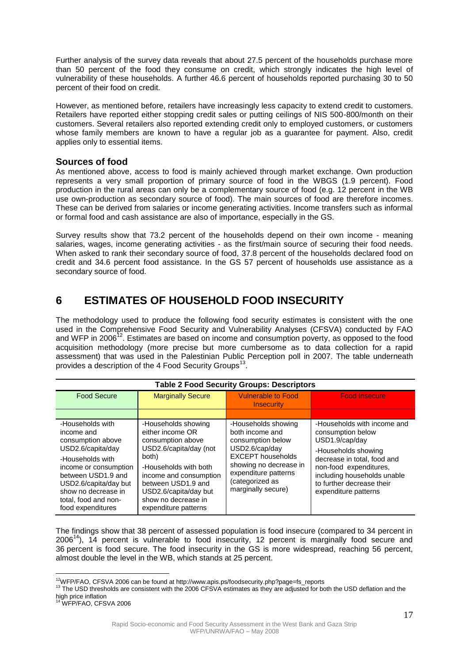Further analysis of the survey data reveals that about 27.5 percent of the households purchase more than 50 percent of the food they consume on credit, which strongly indicates the high level of vulnerability of these households. A further 46.6 percent of households reported purchasing 30 to 50 percent of their food on credit.

However, as mentioned before, retailers have increasingly less capacity to extend credit to customers. Retailers have reported either stopping credit sales or putting ceilings of NIS 500-800/month on their customers. Several retailers also reported extending credit only to employed customers, or customers whose family members are known to have a regular job as a guarantee for payment. Also, credit applies only to essential items.

## **Sources of food**

As mentioned above, access to food is mainly achieved through market exchange. Own production represents a very small proportion of primary source of food in the WBGS (1.9 percent). Food production in the rural areas can only be a complementary source of food (e.g. 12 percent in the WB use own-production as secondary source of food). The main sources of food are therefore incomes. These can be derived from salaries or income generating activities. Income transfers such as informal or formal food and cash assistance are also of importance, especially in the GS.

Survey results show that 73.2 percent of the households depend on their own income - meaning salaries, wages, income generating activities - as the first/main source of securing their food needs. When asked to rank their secondary source of food, 37.8 percent of the households declared food on credit and 34.6 percent food assistance. In the GS 57 percent of households use assistance as a secondary source of food.

## **6 ESTIMATES OF HOUSEHOLD FOOD INSECURITY**

The methodology used to produce the following food security estimates is consistent with the one used in the Comprehensive Food Security and Vulnerability Analyses (CFSVA) conducted by FAO and WFP in 2006 $12$ . Estimates are based on income and consumption poverty, as opposed to the food acquisition methodology (more precise but more cumbersome as to data collection for a rapid assessment) that was used in the Palestinian Public Perception poll in 2007. The table underneath provides a description of the 4 Food Security Groups<sup>13</sup>.

| <b>Table 2 Food Security Groups: Descriptors</b>                                                                                                                                                                                         |                                                                                                                                                                                                                                                  |                                                                                                                                                                                                      |                                                                                                                                                                                                                                        |  |  |  |
|------------------------------------------------------------------------------------------------------------------------------------------------------------------------------------------------------------------------------------------|--------------------------------------------------------------------------------------------------------------------------------------------------------------------------------------------------------------------------------------------------|------------------------------------------------------------------------------------------------------------------------------------------------------------------------------------------------------|----------------------------------------------------------------------------------------------------------------------------------------------------------------------------------------------------------------------------------------|--|--|--|
| <b>Food Secure</b>                                                                                                                                                                                                                       | <b>Marginally Secure</b>                                                                                                                                                                                                                         | <b>Vulnerable to Food</b><br><b>Insecurity</b>                                                                                                                                                       | <b>Food Insecure</b>                                                                                                                                                                                                                   |  |  |  |
|                                                                                                                                                                                                                                          |                                                                                                                                                                                                                                                  |                                                                                                                                                                                                      |                                                                                                                                                                                                                                        |  |  |  |
| -Households with<br>income and<br>consumption above<br>USD2.6/capita/day<br>-Households with<br>income or consumption<br>between USD1.9 and<br>USD2.6/capita/day but<br>show no decrease in<br>total, food and non-<br>food expenditures | -Households showing<br>either income OR<br>consumption above<br>USD2.6/capita/day (not<br>both)<br>-Households with both<br>income and consumption<br>between USD1.9 and<br>USD2.6/capita/day but<br>show no decrease in<br>expenditure patterns | -Households showing<br>both income and<br>consumption below<br>USD2.6/cap/day<br><b>EXCEPT</b> households<br>showing no decrease in<br>expenditure patterns<br>(categorized as<br>marginally secure) | -Households with income and<br>consumption below<br>USD1.9/cap/day<br>-Households showing<br>decrease in total, food and<br>non-food expenditures.<br>including households unable<br>to further decrease their<br>expenditure patterns |  |  |  |

The findings show that 38 percent of assessed population is food insecure (compared to 34 percent in  $2006<sup>14</sup>$ ), 14 percent is vulnerable to food insecurity, 12 percent is marginally food secure and 36 percent is food secure. The food insecurity in the GS is more widespread, reaching 56 percent, almost double the level in the WB, which stands at 25 percent.

 $\overline{a}$ 

<sup>&</sup>lt;sup>12</sup>WFP/FAO, CFSVA 2006 can be found at http://www.apis.ps/foodsecurity.php?page=fs\_reports

<sup>&</sup>lt;sup>13</sup> The USD thresholds are consistent with the 2006 CFSVA estimates as they are adjusted for both the USD deflation and the high price inflation <sup>14</sup> WFP/FAO, CFSVA 2006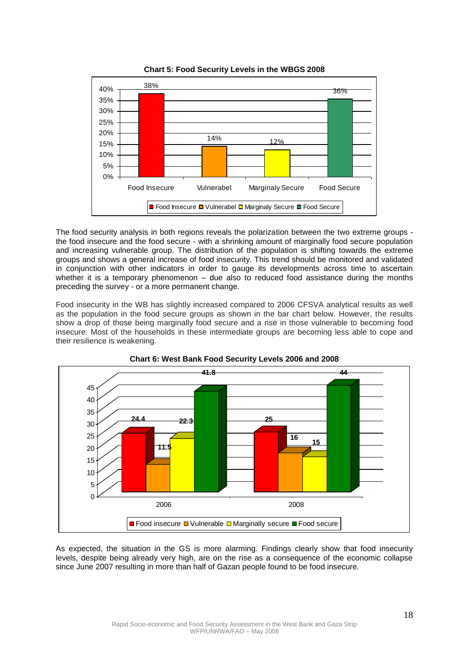

**Chart 5: Food Security Levels in the WBGS 2008**

The food security analysis in both regions reveals the polarization between the two extreme groups the food insecure and the food secure - with a shrinking amount of marginally food secure population and increasing vulnerable group. The distribution of the population is shifting towards the extreme groups and shows a general increase of food insecurity. This trend should be monitored and validated in conjunction with other indicators in order to gauge its developments across time to ascertain whether it is a temporary phenomenon – due also to reduced food assistance during the months preceding the survey - or a more permanent change.

Food insecurity in the WB has slightly increased compared to 2006 CFSVA analytical results as well as the population in the food secure groups as shown in the bar chart below. However, the results show a drop of those being marginally food secure and a rise in those vulnerable to becoming food insecure. Most of the households in these intermediate groups are becoming less able to cope and their resilience is weakening.





As expected, the situation in the GS is more alarming. Findings clearly show that food insecurity levels, despite being already very high, are on the rise as a consequence of the economic collapse since June 2007 resulting in more than half of Gazan people found to be food insecure.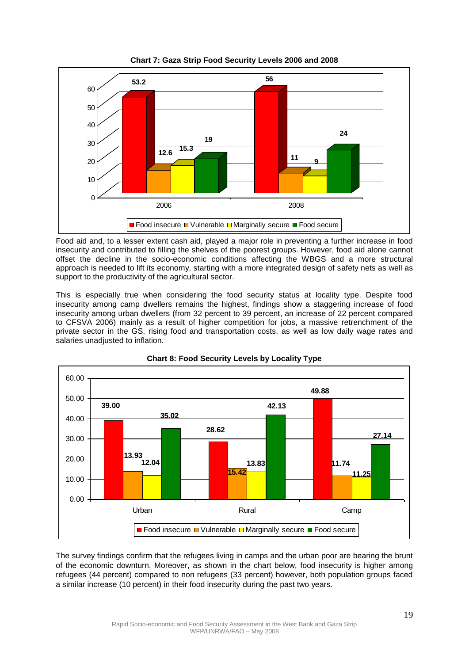

Food aid and, to a lesser extent cash aid, played a major role in preventing a further increase in food insecurity and contributed to filling the shelves of the poorest groups. However, food aid alone cannot offset the decline in the socio-economic conditions affecting the WBGS and a more structural approach is needed to lift its economy, starting with a more integrated design of safety nets as well as support to the productivity of the agricultural sector.

This is especially true when considering the food security status at locality type. Despite food insecurity among camp dwellers remains the highest, findings show a staggering increase of food insecurity among urban dwellers (from 32 percent to 39 percent, an increase of 22 percent compared to CFSVA 2006) mainly as a result of higher competition for jobs, a massive retrenchment of the private sector in the GS, rising food and transportation costs, as well as low daily wage rates and salaries unadiusted to inflation.



**Chart 8: Food Security Levels by Locality Type**

The survey findings confirm that the refugees living in camps and the urban poor are bearing the brunt of the economic downturn. Moreover, as shown in the chart below, food insecurity is higher among refugees (44 percent) compared to non refugees (33 percent) however, both population groups faced a similar increase (10 percent) in their food insecurity during the past two years.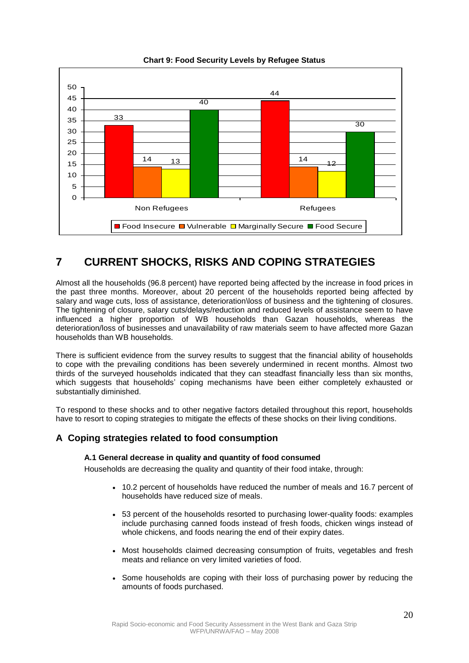

**Chart 9: Food Security Levels by Refugee Status**

## **7 CURRENT SHOCKS, RISKS AND COPING STRATEGIES**

Almost all the households (96.8 percent) have reported being affected by the increase in food prices in the past three months. Moreover, about 20 percent of the households reported being affected by salary and wage cuts, loss of assistance, deterioration\loss of business and the tightening of closures. The tightening of closure, salary cuts/delays/reduction and reduced levels of assistance seem to have influenced a higher proportion of WB households than Gazan households, whereas the deterioration/loss of businesses and unavailability of raw materials seem to have affected more Gazan households than WB households.

There is sufficient evidence from the survey results to suggest that the financial ability of households to cope with the prevailing conditions has been severely undermined in recent months. Almost two thirds of the surveyed households indicated that they can steadfast financially less than six months, which suggests that households' coping mechanisms have been either completely exhausted or substantially diminished.

To respond to these shocks and to other negative factors detailed throughout this report, households have to resort to coping strategies to mitigate the effects of these shocks on their living conditions.

## **A Coping strategies related to food consumption**

#### **A.1 General decrease in quality and quantity of food consumed**

Households are decreasing the quality and quantity of their food intake, through:

- 10.2 percent of households have reduced the number of meals and 16.7 percent of households have reduced size of meals.
- 53 percent of the households resorted to purchasing lower-quality foods: examples include purchasing canned foods instead of fresh foods, chicken wings instead of whole chickens, and foods nearing the end of their expiry dates.
- Most households claimed decreasing consumption of fruits, vegetables and fresh meats and reliance on very limited varieties of food.
- Some households are coping with their loss of purchasing power by reducing the amounts of foods purchased.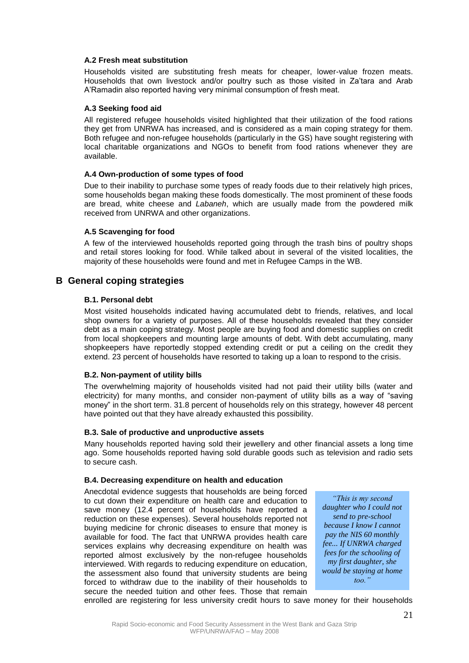#### **A.2 Fresh meat substitution**

Households visited are substituting fresh meats for cheaper, lower-value frozen meats. Households that own livestock and/or poultry such as those visited in Za'tara and Arab A'Ramadin also reported having very minimal consumption of fresh meat.

#### **A.3 Seeking food aid**

All registered refugee households visited highlighted that their utilization of the food rations they get from UNRWA has increased, and is considered as a main coping strategy for them. Both refugee and non-refugee households (particularly in the GS) have sought registering with local charitable organizations and NGOs to benefit from food rations whenever they are available.

#### **A.4 Own-production of some types of food**

Due to their inability to purchase some types of ready foods due to their relatively high prices, some households began making these foods domestically. The most prominent of these foods are bread, white cheese and *Labaneh*, which are usually made from the powdered milk received from UNRWA and other organizations.

#### **A.5 Scavenging for food**

A few of the interviewed households reported going through the trash bins of poultry shops and retail stores looking for food. While talked about in several of the visited localities, the majority of these households were found and met in Refugee Camps in the WB.

#### **B General coping strategies**

#### **B.1. Personal debt**

Most visited households indicated having accumulated debt to friends, relatives, and local shop owners for a variety of purposes. All of these households revealed that they consider debt as a main coping strategy. Most people are buying food and domestic supplies on credit from local shopkeepers and mounting large amounts of debt. With debt accumulating, many shopkeepers have reportedly stopped extending credit or put a ceiling on the credit they extend. 23 percent of households have resorted to taking up a loan to respond to the crisis.

#### **B.2. Non-payment of utility bills**

The overwhelming majority of households visited had not paid their utility bills (water and electricity) for many months, and consider non-payment of utility bills as a way of "saving money" in the short term. 31.8 percent of households rely on this strategy, however 48 percent have pointed out that they have already exhausted this possibility.

#### **B.3. Sale of productive and unproductive assets**

Many households reported having sold their jewellery and other financial assets a long time ago. Some households reported having sold durable goods such as television and radio sets to secure cash.

#### **B.4. Decreasing expenditure on health and education**

Anecdotal evidence suggests that households are being forced to cut down their expenditure on health care and education to save money (12.4 percent of households have reported a reduction on these expenses). Several households reported not buying medicine for chronic diseases to ensure that money is available for food. The fact that UNRWA provides health care services explains why decreasing expenditure on health was reported almost exclusively by the non-refugee households interviewed. With regards to reducing expenditure on education, the assessment also found that university students are being forced to withdraw due to the inability of their households to secure the needed tuition and other fees. Those that remain

*"This is my second daughter who I could not send to pre-school because I know I cannot pay the NIS 60 monthly fee... If UNRWA charged fees for the schooling of my first daughter, she would be staying at home too."*

enrolled are registering for less university credit hours to save money for their households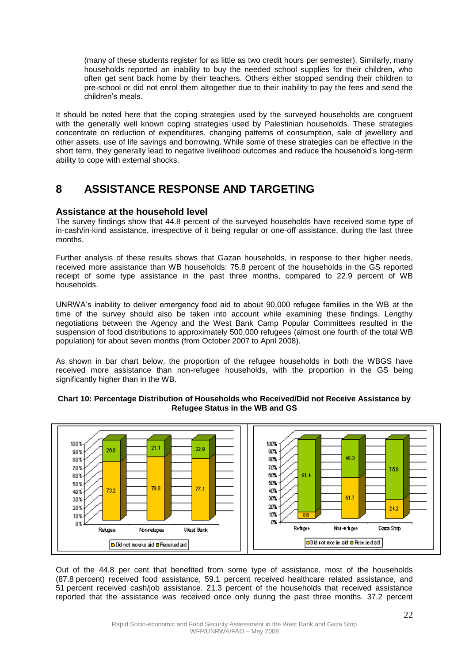(many of these students register for as little as two credit hours per semester). Similarly, many households reported an inability to buy the needed school supplies for their children, who often get sent back home by their teachers. Others either stopped sending their children to pre-school or did not enrol them altogether due to their inability to pay the fees and send the children's meals.

It should be noted here that the coping strategies used by the surveyed households are congruent with the generally well known coping strategies used by Palestinian households. These strategies concentrate on reduction of expenditures, changing patterns of consumption, sale of jewellery and other assets, use of life savings and borrowing. While some of these strategies can be effective in the short term, they generally lead to negative livelihood outcomes and reduce the household's long-term ability to cope with external shocks.

## **8 ASSISTANCE RESPONSE AND TARGETING**

### **Assistance at the household level**

The survey findings show that 44.8 percent of the surveyed households have received some type of in-cash/in-kind assistance, irrespective of it being regular or one-off assistance, during the last three months.

Further analysis of these results shows that Gazan households, in response to their higher needs, received more assistance than WB households: 75.8 percent of the households in the GS reported receipt of some type assistance in the past three months, compared to 22.9 percent of WB households.

UNRWA's inability to deliver emergency food aid to about 90,000 refugee families in the WB at the time of the survey should also be taken into account while examining these findings. Lengthy negotiations between the Agency and the West Bank Camp Popular Committees resulted in the suspension of food distributions to approximately 500,000 refugees (almost one fourth of the total WB population) for about seven months (from October 2007 to April 2008).

As shown in bar chart below, the proportion of the refugee households in both the WBGS have received more assistance than non-refugee households, with the proportion in the GS being significantly higher than in the WB.





Out of the 44.8 per cent that benefited from some type of assistance, most of the households (87.8 percent) received food assistance, 59.1 percent received healthcare related assistance, and 51 percent received cash/job assistance. 21.3 percent of the households that received assistance reported that the assistance was received once only during the past three months. 37.2 percent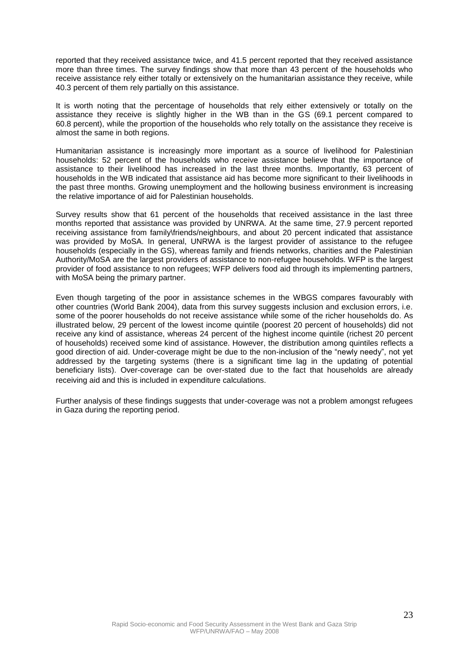reported that they received assistance twice, and 41.5 percent reported that they received assistance more than three times. The survey findings show that more than 43 percent of the households who receive assistance rely either totally or extensively on the humanitarian assistance they receive, while 40.3 percent of them rely partially on this assistance.

It is worth noting that the percentage of households that rely either extensively or totally on the assistance they receive is slightly higher in the WB than in the GS (69.1 percent compared to 60.8 percent), while the proportion of the households who rely totally on the assistance they receive is almost the same in both regions.

Humanitarian assistance is increasingly more important as a source of livelihood for Palestinian households: 52 percent of the households who receive assistance believe that the importance of assistance to their livelihood has increased in the last three months. Importantly, 63 percent of households in the WB indicated that assistance aid has become more significant to their livelihoods in the past three months. Growing unemployment and the hollowing business environment is increasing the relative importance of aid for Palestinian households.

Survey results show that 61 percent of the households that received assistance in the last three months reported that assistance was provided by UNRWA. At the same time, 27.9 percent reported receiving assistance from family\friends/neighbours, and about 20 percent indicated that assistance was provided by MoSA. In general, UNRWA is the largest provider of assistance to the refugee households (especially in the GS), whereas family and friends networks, charities and the Palestinian Authority/MoSA are the largest providers of assistance to non-refugee households. WFP is the largest provider of food assistance to non refugees; WFP delivers food aid through its implementing partners, with MoSA being the primary partner.

Even though targeting of the poor in assistance schemes in the WBGS compares favourably with other countries (World Bank 2004), data from this survey suggests inclusion and exclusion errors, i.e. some of the poorer households do not receive assistance while some of the richer households do. As illustrated below, 29 percent of the lowest income quintile (poorest 20 percent of households) did not receive any kind of assistance, whereas 24 percent of the highest income quintile (richest 20 percent of households) received some kind of assistance. However, the distribution among quintiles reflects a good direction of aid. Under-coverage might be due to the non-inclusion of the "newly needy", not yet addressed by the targeting systems (there is a significant time lag in the updating of potential beneficiary lists). Over-coverage can be over-stated due to the fact that households are already receiving aid and this is included in expenditure calculations.

Further analysis of these findings suggests that under-coverage was not a problem amongst refugees in Gaza during the reporting period.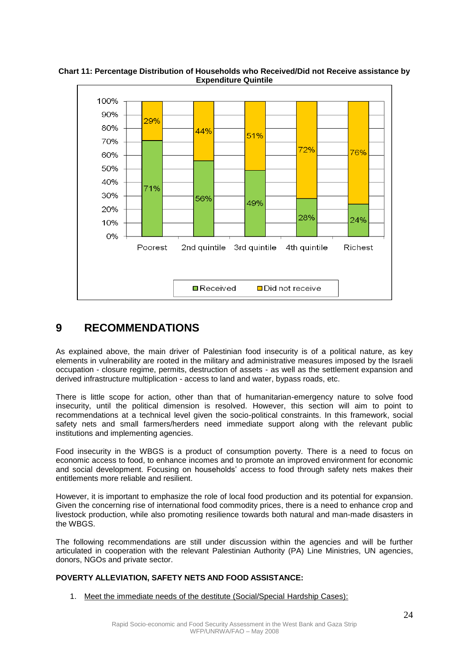

**Chart 11: Percentage Distribution of Households who Received/Did not Receive assistance by Expenditure Quintile**

## **9 RECOMMENDATIONS**

As explained above, the main driver of Palestinian food insecurity is of a political nature, as key elements in vulnerability are rooted in the military and administrative measures imposed by the Israeli occupation - closure regime, permits, destruction of assets - as well as the settlement expansion and derived infrastructure multiplication - access to land and water, bypass roads, etc.

There is little scope for action, other than that of humanitarian-emergency nature to solve food insecurity, until the political dimension is resolved. However, this section will aim to point to recommendations at a technical level given the socio-political constraints. In this framework, social safety nets and small farmers/herders need immediate support along with the relevant public institutions and implementing agencies.

Food insecurity in the WBGS is a product of consumption poverty. There is a need to focus on economic access to food, to enhance incomes and to promote an improved environment for economic and social development. Focusing on households' access to food through safety nets makes their entitlements more reliable and resilient.

However, it is important to emphasize the role of local food production and its potential for expansion. Given the concerning rise of international food commodity prices, there is a need to enhance crop and livestock production, while also promoting resilience towards both natural and man-made disasters in the WBGS.

The following recommendations are still under discussion within the agencies and will be further articulated in cooperation with the relevant Palestinian Authority (PA) Line Ministries, UN agencies, donors, NGOs and private sector.

### **POVERTY ALLEVIATION, SAFETY NETS AND FOOD ASSISTANCE:**

1. Meet the immediate needs of the destitute (Social/Special Hardship Cases):